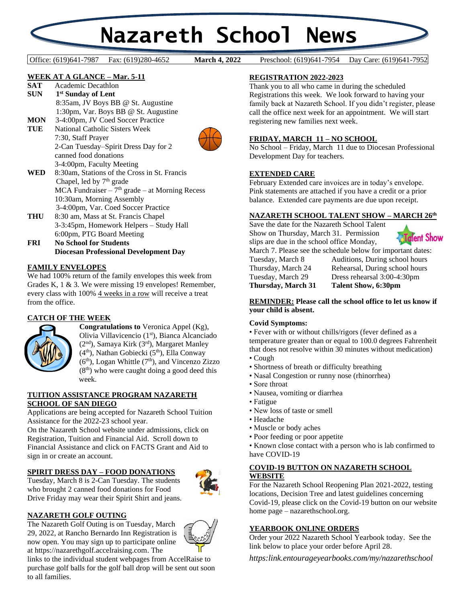# **Nazareth School News**

**March 4, 2022** 

Office: (619)641-7987 Fax: (619)280-4652 **March 4, 2022** Preschool: (619)641-7954 Day Care: (619)641-7952

#### **WEEK AT A GLANCE – Mar. 5-11**

- **SAT** Academic Decathlon **SUN 1 st Sunday of Lent** 8:35am, JV Boys BB @ St. Augustine 1:30pm, Var. Boys BB @ St. Augustine **MON** 3-4:00pm, JV Coed Soccer Practice **TUE** National Catholic Sisters Week 7:30, Staff Prayer 2-Can Tuesday–Spirit Dress Day for 2 canned food donations 3-4:00pm, Faculty Meeting **WED** 8:30am, Stations of the Cross in St. Francis Chapel, led by  $7<sup>th</sup>$  grade  $MCA$  Fundraiser –  $7<sup>th</sup>$  grade – at Morning Recess 10:30am, Morning Assembly 3-4:00pm, Var. Coed Soccer Practice **THU** 8:30 am, Mass at St. Francis Chapel 3-3:45pm, Homework Helpers – Study Hall 6:00pm, PTG Board Meeting **FRI No School for Students**
	- **Diocesan Professional Development Day**

#### **FAMILY ENVELOPES**

We had 100% return of the family envelopes this week from Grades K, 1 & 3. We were missing 19 envelopes! Remember, every class with 100% 4 weeks in a row will receive a treat from the office.

### **CATCH OF THE WEEK**



**Congratulations to** Veronica Appel (Kg), Olivia Villavicencio (1st), Bianca Alcanciado (2<sup>nd</sup>), Samaya Kirk (3<sup>rd</sup>), Margaret Manley (4<sup>th</sup>), Nathan Gobiecki (5<sup>th</sup>), Ella Conway  $(6<sup>th</sup>)$ , Logan Whittle  $(7<sup>th</sup>)$ , and Vincenzo Zizzo  $(8<sup>th</sup>)$  who were caught doing a good deed this week.

#### **TUITION ASSISTANCE PROGRAM NAZARETH SCHOOL OF SAN DIEGO**

Applications are being accepted for Nazareth School Tuition Assistance for the 2022-23 school year.

On the Nazareth School website under admissions, click on Registration, Tuition and Financial Aid. Scroll down to Financial Assistance and click on FACTS Grant and Aid to sign in or create an account.

#### **SPIRIT DRESS DAY – FOOD DONATIONS**

Tuesday, March 8 is 2-Can Tuesday. The students who brought 2 canned food donations for Food Drive Friday may wear their Spirit Shirt and jeans.



#### **NAZARETH GOLF OUTING**

The Nazareth Golf Outing is on Tuesday, March 29, 2022, at Rancho Bernardo Inn Registration is now open. You may sign up to participate online at https://nazarethgolf.accelraising.com. The



#### **REGISTRATION 2022-2023**

Thank you to all who came in during the scheduled Registrations this week. We look forward to having your family back at Nazareth School. If you didn't register, please call the office next week for an appointment. We will start registering new families next week.

#### **FRIDAY, MARCH 11 – NO SCHOOL**

No School – Friday, March 11 due to Diocesan Professional Development Day for teachers.

#### **EXTENDED CARE**

February Extended care invoices are in today's envelope. Pink statements are attached if you have a credit or a prior balance. Extended care payments are due upon receipt.

#### **NAZARETH SCHOOL TALENT SHOW – MARCH 26th**

Save the date for the Nazareth School Talent Show on Thursday, March 31. Permission slips are due in the school office Monday,



March 7. Please see the schedule below for important dates: Tuesday, March 8 Auditions, During school hours Thursday, March 24 Rehearsal, During school hours Tuesday, March 29 Dress rehearsal 3:00-4:30pm **Thursday, March 31 Talent Show, 6:30pm**

#### **REMINDER: Please call the school office to let us know if your child is absent.**

#### **Covid Symptoms:**

• Fever with or without chills/rigors (fever defined as a temperature greater than or equal to 100.0 degrees Fahrenheit that does not resolve within 30 minutes without medication)

- Cough
- Shortness of breath or difficulty breathing
- Nasal Congestion or runny nose (rhinorrhea)
- Sore throat
- Nausea, vomiting or diarrhea
- Fatigue
- New loss of taste or smell
- Headache
- Muscle or body aches
- Poor feeding or poor appetite
- Known close contact with a person who is lab confirmed to have COVID-19

#### **COVID-19 BUTTON ON NAZARETH SCHOOL WEBSITE**

For the Nazareth School Reopening Plan 2021-2022, testing locations, Decision Tree and latest guidelines concerning Covid-19, please click on the Covid-19 button on our website home page – nazarethschool.org.

#### **YEARBOOK ONLINE ORDERS**

Order your 2022 Nazareth School Yearbook today. See the link below to place your order before April 28.

*https:link.entourageyearbooks.com/my/nazarethschool*

links to the individual student webpages from AccelRaise to purchase golf balls for the golf ball drop will be sent out soon to all families.